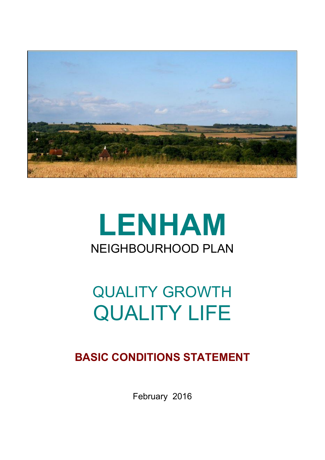

# **LENHAM** NEIGHBOURHOOD PLAN

## QUALITY GROWTH QUALITY LIFE

## **BASIC CONDITIONS STATEMENT**

February 2016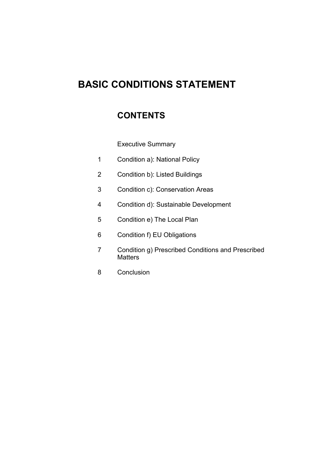### **BASIC CONDITIONS STATEMENT**

#### **CONTENTS**

Executive Summary

- Condition a): National Policy
- Condition b): Listed Buildings
- Condition c): Conservation Areas
- Condition d): Sustainable Development
- Condition e) The Local Plan
- Condition f) EU Obligations
- Condition g) Prescribed Conditions and Prescribed **Matters**
- Conclusion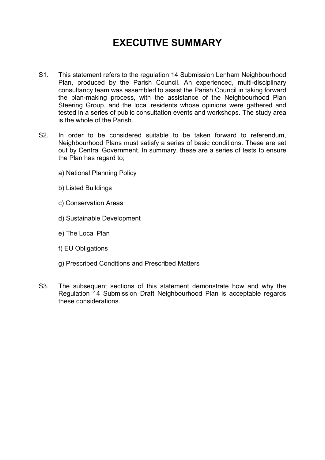## **EXECUTIVE SUMMARY**

- S1. This statement refers to the regulation 14 Submission Lenham Neighbourhood Plan, produced by the Parish Council. An experienced, multi-disciplinary consultancy team was assembled to assist the Parish Council in taking forward the plan-making process, with the assistance of the Neighbourhood Plan Steering Group, and the local residents whose opinions were gathered and tested in a series of public consultation events and workshops. The study area is the whole of the Parish.
- S2. In order to be considered suitable to be taken forward to referendum, Neighbourhood Plans must satisfy a series of basic conditions. These are set out by Central Government. In summary, these are a series of tests to ensure the Plan has regard to;
	- a) National Planning Policy
	- b) Listed Buildings
	- c) Conservation Areas
	- d) Sustainable Development
	- e) The Local Plan
	- f) EU Obligations
	- g) Prescribed Conditions and Prescribed Matters
- S3. The subsequent sections of this statement demonstrate how and why the Regulation 14 Submission Draft Neighbourhood Plan is acceptable regards these considerations.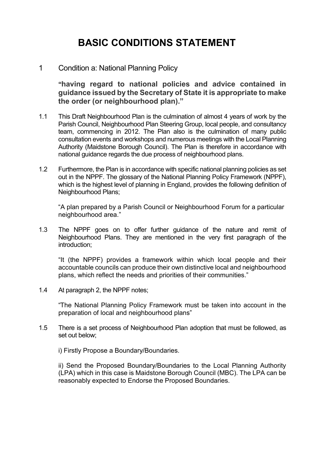## **BASIC CONDITIONS STATEMENT**

#### 1 Condition a: National Planning Policy

**"having regard to national policies and advice contained in guidance issued by the Secretary of State it is appropriate to make the order (or neighbourhood plan)."**

- 1.1 This Draft Neighbourhood Plan is the culmination of almost 4 years of work by the Parish Council, Neighbourhood Plan Steering Group, local people, and consultancy team, commencing in 2012. The Plan also is the culmination of many public consultation events and workshops and numerous meetings with the Local Planning Authority (Maidstone Borough Council). The Plan is therefore in accordance with national guidance regards the due process of neighbourhood plans.
- 1.2 Furthermore, the Plan is in accordance with specific national planning policies as set out in the NPPF. The glossary of the National Planning Policy Framework (NPPF), which is the highest level of planning in England, provides the following definition of Neighbourhood Plans:

"A plan prepared by a Parish Council or Neighbourhood Forum for a particular neighbourhood area."

1.3 The NPPF goes on to offer further guidance of the nature and remit of Neighbourhood Plans. They are mentioned in the very first paragraph of the introduction;

"It (the NPPF) provides a framework within which local people and their accountable councils can produce their own distinctive local and neighbourhood plans, which reflect the needs and priorities of their communities."

1.4 At paragraph 2, the NPPF notes;

"The National Planning Policy Framework must be taken into account in the preparation of local and neighbourhood plans"

1.5 There is a set process of Neighbourhood Plan adoption that must be followed, as set out below;

i) Firstly Propose a Boundary/Boundaries.

ii) Send the Proposed Boundary/Boundaries to the Local Planning Authority (LPA) which in this case is Maidstone Borough Council (MBC). The LPA can be reasonably expected to Endorse the Proposed Boundaries.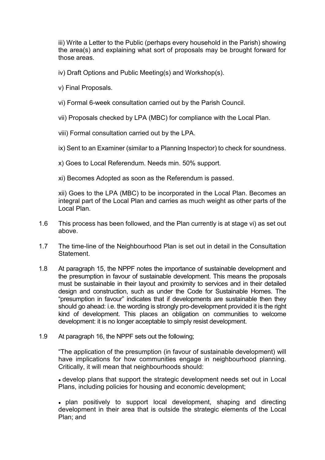iii) Write a Letter to the Public (perhaps every household in the Parish) showing the area(s) and explaining what sort of proposals may be brought forward for those areas.

iv) Draft Options and Public Meeting(s) and Workshop(s).

- v) Final Proposals.
- vi) Formal 6-week consultation carried out by the Parish Council.
- vii) Proposals checked by LPA (MBC) for compliance with the Local Plan.
- viii) Formal consultation carried out by the LPA.
- ix) Sent to an Examiner (similar to a Planning Inspector) to check for soundness.
- x) Goes to Local Referendum. Needs min. 50% support.
- xi) Becomes Adopted as soon as the Referendum is passed.

xii) Goes to the LPA (MBC) to be incorporated in the Local Plan. Becomes an integral part of the Local Plan and carries as much weight as other parts of the Local Plan.

- 1.6 This process has been followed, and the Plan currently is at stage vi) as set out above.
- 1.7 The time-line of the Neighbourhood Plan is set out in detail in the Consultation Statement.
- 1.8 At paragraph 15, the NPPF notes the importance of sustainable development and the presumption in favour of sustainable development. This means the proposals must be sustainable in their layout and proximity to services and in their detailed design and construction, such as under the Code for Sustainable Homes. The "presumption in favour" indicates that if developments are sustainable then they should go ahead: i.e. the wording is strongly pro-development provided it is the right kind of development. This places an obligation on communities to welcome development: it is no longer acceptable to simply resist development.
- 1.9 At paragraph 16, the NPPF sets out the following;

"The application of the presumption (in favour of sustainable development) will have implications for how communities engage in neighbourhood planning. Critically, it will mean that neighbourhoods should:

**●** develop plans that support the strategic development needs set out in Local Plans, including policies for housing and economic development;

**●** plan positively to support local development, shaping and directing development in their area that is outside the strategic elements of the Local Plan; and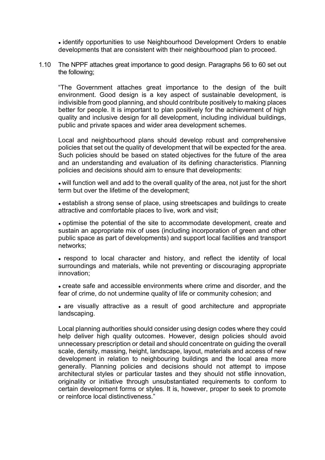**●** identify opportunities to use Neighbourhood Development Orders to enable developments that are consistent with their neighbourhood plan to proceed.

1.10 The NPPF attaches great importance to good design. Paragraphs 56 to 60 set out the following;

"The Government attaches great importance to the design of the built environment. Good design is a key aspect of sustainable development, is indivisible from good planning, and should contribute positively to making places better for people. It is important to plan positively for the achievement of high quality and inclusive design for all development, including individual buildings, public and private spaces and wider area development schemes.

Local and neighbourhood plans should develop robust and comprehensive policies that set out the quality of development that will be expected for the area. Such policies should be based on stated objectives for the future of the area and an understanding and evaluation of its defining characteristics. Planning policies and decisions should aim to ensure that developments:

**●** will function well and add to the overall quality of the area, not just for the short term but over the lifetime of the development;

**●** establish a strong sense of place, using streetscapes and buildings to create attractive and comfortable places to live, work and visit;

**●** optimise the potential of the site to accommodate development, create and sustain an appropriate mix of uses (including incorporation of green and other public space as part of developments) and support local facilities and transport networks;

**●** respond to local character and history, and reflect the identity of local surroundings and materials, while not preventing or discouraging appropriate innovation;

**●** create safe and accessible environments where crime and disorder, and the fear of crime, do not undermine quality of life or community cohesion; and

**●** are visually attractive as a result of good architecture and appropriate landscaping.

Local planning authorities should consider using design codes where they could help deliver high quality outcomes. However, design policies should avoid unnecessary prescription or detail and should concentrate on guiding the overall scale, density, massing, height, landscape, layout, materials and access of new development in relation to neighbouring buildings and the local area more generally. Planning policies and decisions should not attempt to impose architectural styles or particular tastes and they should not stifle innovation, originality or initiative through unsubstantiated requirements to conform to certain development forms or styles. It is, however, proper to seek to promote or reinforce local distinctiveness."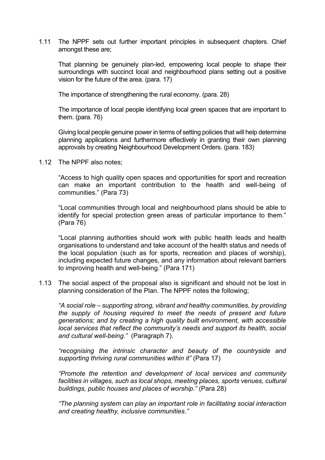1.11 The NPPF sets out further important principles in subsequent chapters. Chief amongst these are;

That planning be genuinely plan-led, empowering local people to shape their surroundings with succinct local and neighbourhood plans setting out a positive vision for the future of the area. (para. 17)

The importance of strengthening the rural economy. (para. 28)

The importance of local people identifying local green spaces that are important to them. (para. 76)

Giving local people genuine power in terms of setting policies that will help determine planning applications and furthermore effectively in granting their own planning approvals by creating Neighbourhood Development Orders. (para. 183)

1.12 The NPPF also notes;

"Access to high quality open spaces and opportunities for sport and recreation can make an important contribution to the health and well-being of communities." (Para 73)

"Local communities through local and neighbourhood plans should be able to identify for special protection green areas of particular importance to them." (Para 76)

"Local planning authorities should work with public health leads and health organisations to understand and take account of the health status and needs of the local population (such as for sports, recreation and places of worship), including expected future changes, and any information about relevant barriers to improving health and well-being." (Para 171)

1.13 The social aspect of the proposal also is significant and should not be lost in planning consideration of the Plan. The NPPF notes the following;

*"A social role – supporting strong, vibrant and healthy communities, by providing the supply of housing required to meet the needs of present and future generations; and by creating a high quality built environment, with accessible local services that reflect the community's needs and support its health, social and cultural well-being."* (Paragraph 7).

*"recognising the intrinsic character and beauty of the countryside and supporting thriving rural communities within it"* (Para 17)

*"Promote the retention and development of local services and community facilities in villages, such as local shops, meeting places, sports venues, cultural buildings, public houses and places of worship."* (Para 28)

*"The planning system can play an important role in facilitating social interaction and creating healthy, inclusive communities."*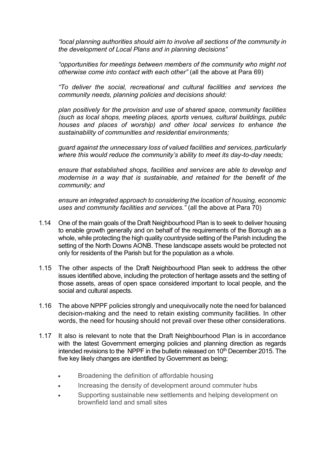*"local planning authorities should aim to involve all sections of the community in the development of Local Plans and in planning decisions"*

*"opportunities for meetings between members of the community who might not otherwise come into contact with each other"* (all the above at Para 69)

*"To deliver the social, recreational and cultural facilities and services the community needs, planning policies and decisions should:*

*plan positively for the provision and use of shared space, community facilities (such as local shops, meeting places, sports venues, cultural buildings, public houses and places of worship) and other local services to enhance the sustainability of communities and residential environments;*

*guard against the unnecessary loss of valued facilities and services, particularly where this would reduce the community's ability to meet its day-to-day needs;*

*ensure that established shops, facilities and services are able to develop and modernise in a way that is sustainable, and retained for the benefit of the community; and*

*ensure an integrated approach to considering the location of housing, economic uses and community facilities and services."* (all the above at Para 70)

- 1.14 One of the main goals of the Draft Neighbourhood Plan is to seek to deliver housing to enable growth generally and on behalf of the requirements of the Borough as a whole, while protecting the high quality countryside setting of the Parish including the setting of the North Downs AONB. These landscape assets would be protected not only for residents of the Parish but for the population as a whole.
- 1.15 The other aspects of the Draft Neighbourhood Plan seek to address the other issues identified above, including the protection of heritage assets and the setting of those assets, areas of open space considered important to local people, and the social and cultural aspects.
- 1.16 The above NPPF policies strongly and unequivocally note the need for balanced decision-making and the need to retain existing community facilities. In other words, the need for housing should not prevail over these other considerations.
- 1.17 It also is relevant to note that the Draft Neighbourhood Plan is in accordance with the latest Government emerging policies and planning direction as regards intended revisions to the NPPF in the bulletin released on  $10<sup>th</sup>$  December 2015. The five key likely changes are identified by Government as being;
	- Broadening the definition of affordable housing
	- Increasing the density of development around commuter hubs
	- Supporting sustainable new settlements and helping development on brownfield land and small sites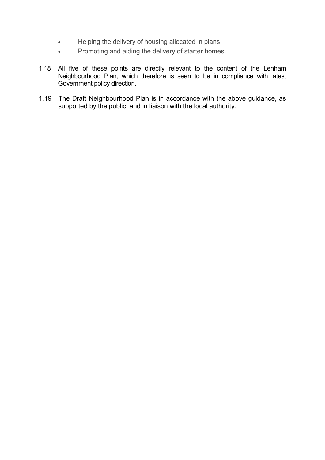- Helping the delivery of housing allocated in plans
- Promoting and aiding the delivery of starter homes.
- 1.18 All five of these points are directly relevant to the content of the Lenham Neighbourhood Plan, which therefore is seen to be in compliance with latest Government policy direction.
- 1.19 The Draft Neighbourhood Plan is in accordance with the above guidance, as supported by the public, and in liaison with the local authority.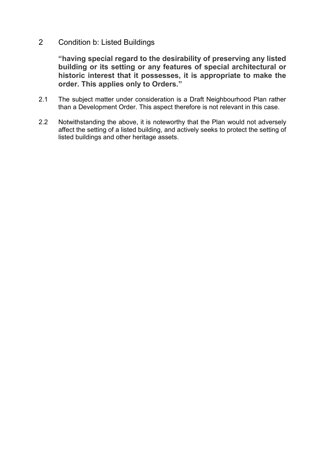#### 2 Condition b: Listed Buildings

**"having special regard to the desirability of preserving any listed building or its setting or any features of special architectural or historic interest that it possesses, it is appropriate to make the order. This applies only to Orders."**

- 2.1 The subject matter under consideration is a Draft Neighbourhood Plan rather than a Development Order. This aspect therefore is not relevant in this case.
- 2.2 Notwithstanding the above, it is noteworthy that the Plan would not adversely affect the setting of a listed building, and actively seeks to protect the setting of listed buildings and other heritage assets.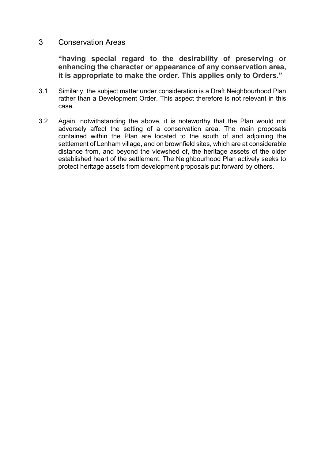#### 3 Conservation Areas

**"having special regard to the desirability of preserving or enhancing the character or appearance of any conservation area, it is appropriate to make the order. This applies only to Orders."**

- 3.1 Similarly, the subject matter under consideration is a Draft Neighbourhood Plan rather than a Development Order. This aspect therefore is not relevant in this case.
- 3.2 Again, notwithstanding the above, it is noteworthy that the Plan would not adversely affect the setting of a conservation area. The main proposals contained within the Plan are located to the south of and adjoining the settlement of Lenham village, and on brownfield sites, which are at considerable distance from, and beyond the viewshed of, the heritage assets of the older established heart of the settlement. The Neighbourhood Plan actively seeks to protect heritage assets from development proposals put forward by others.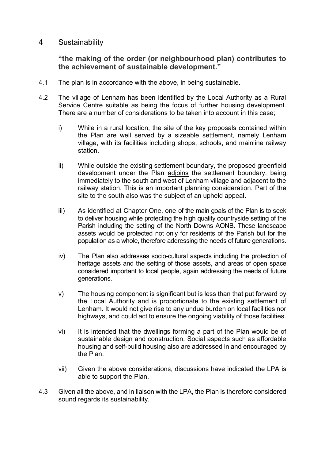#### 4 Sustainability

#### **"the making of the order (or neighbourhood plan) contributes to the achievement of sustainable development."**

- 4.1 The plan is in accordance with the above, in being sustainable.
- 4.2 The village of Lenham has been identified by the Local Authority as a Rural Service Centre suitable as being the focus of further housing development. There are a number of considerations to be taken into account in this case;
	- i) While in a rural location, the site of the key proposals contained within the Plan are well served by a sizeable settlement, namely Lenham village, with its facilities including shops, schools, and mainline railway station.
	- ii) While outside the existing settlement boundary, the proposed greenfield development under the Plan adjoins the settlement boundary, being immediately to the south and west of Lenham village and adjacent to the railway station. This is an important planning consideration. Part of the site to the south also was the subject of an upheld appeal.
	- iii) As identified at Chapter One, one of the main goals of the Plan is to seek to deliver housing while protecting the high quality countryside setting of the Parish including the setting of the North Downs AONB. These landscape assets would be protected not only for residents of the Parish but for the population as a whole, therefore addressing the needs of future generations.
	- iv) The Plan also addresses socio-cultural aspects including the protection of heritage assets and the setting of those assets, and areas of open space considered important to local people, again addressing the needs of future generations.
	- v) The housing component is significant but is less than that put forward by the Local Authority and is proportionate to the existing settlement of Lenham. It would not give rise to any undue burden on local facilities nor highways, and could act to ensure the ongoing viability of those facilities.
	- vi) It is intended that the dwellings forming a part of the Plan would be of sustainable design and construction. Social aspects such as affordable housing and self-build housing also are addressed in and encouraged by the Plan.
	- vii) Given the above considerations, discussions have indicated the LPA is able to support the Plan.
- 4.3 Given all the above, and in liaison with the LPA, the Plan is therefore considered sound regards its sustainability.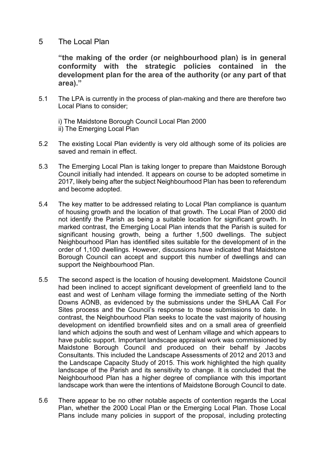#### 5 The Local Plan

**"the making of the order (or neighbourhood plan) is in general conformity with the strategic policies contained in the development plan for the area of the authority (or any part of that area)."**

- 5.1 The LPA is currently in the process of plan-making and there are therefore two Local Plans to consider;
	- i) The Maidstone Borough Council Local Plan 2000 ii) The Emerging Local Plan
- 5.2 The existing Local Plan evidently is very old although some of its policies are saved and remain in effect.
- 5.3 The Emerging Local Plan is taking longer to prepare than Maidstone Borough Council initially had intended. It appears on course to be adopted sometime in 2017, likely being after the subject Neighbourhood Plan has been to referendum and become adopted.
- 5.4 The key matter to be addressed relating to Local Plan compliance is quantum of housing growth and the location of that growth. The Local Plan of 2000 did not identify the Parish as being a suitable location for significant growth. In marked contrast, the Emerging Local Plan intends that the Parish is suited for significant housing growth, being a further 1,500 dwellings. The subject Neighbourhood Plan has identified sites suitable for the development of in the order of 1,100 dwellings. However, discussions have indicated that Maidstone Borough Council can accept and support this number of dwellings and can support the Neighbourhood Plan.
- 5.5 The second aspect is the location of housing development. Maidstone Council had been inclined to accept significant development of greenfield land to the east and west of Lenham village forming the immediate setting of the North Downs AONB, as evidenced by the submissions under the SHLAA Call For Sites process and the Council's response to those submissions to date. In contrast, the Neighbourhood Plan seeks to locate the vast majority of housing development on identified brownfield sites and on a small area of greenfield land which adjoins the south and west of Lenham village and which appears to have public support. Important landscape appraisal work was commissioned by Maidstone Borough Council and produced on their behalf by Jacobs Consultants. This included the Landscape Assessments of 2012 and 2013 and the Landscape Capacity Study of 2015. This work highlighted the high quality landscape of the Parish and its sensitivity to change. It is concluded that the Neighbourhood Plan has a higher degree of compliance with this important landscape work than were the intentions of Maidstone Borough Council to date.
- 5.6 There appear to be no other notable aspects of contention regards the Local Plan, whether the 2000 Local Plan or the Emerging Local Plan. Those Local Plans include many policies in support of the proposal, including protecting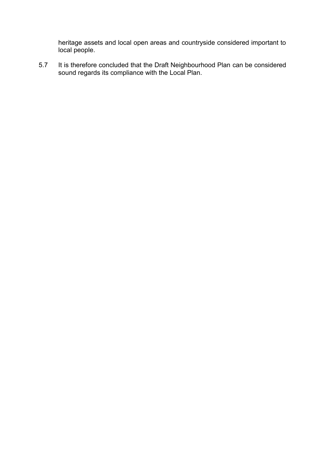heritage assets and local open areas and countryside considered important to local people.

5.7 It is therefore concluded that the Draft Neighbourhood Plan can be considered sound regards its compliance with the Local Plan.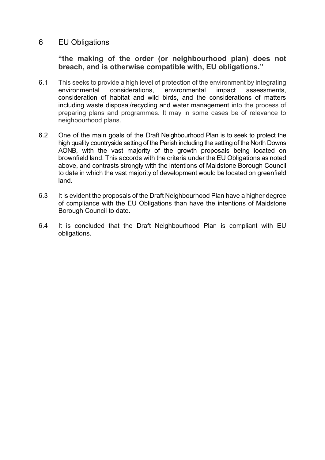#### 6 EU Obligations

**"the making of the order (or neighbourhood plan) does not breach, and is otherwise compatible with, EU obligations."**

- 6.1 This seeks to provide a high level of protection of the environment by integrating environmental considerations, environmental impact assessments, consideration of habitat and wild birds, and the considerations of matters including waste disposal/recycling and water management into the process of preparing plans and programmes. It may in some cases be of relevance to neighbourhood plans.
- 6.2 One of the main goals of the Draft Neighbourhood Plan is to seek to protect the high quality countryside setting of the Parish including the setting of the North Downs AONB, with the vast majority of the growth proposals being located on brownfield land. This accords with the criteria under the EU Obligations as noted above, and contrasts strongly with the intentions of Maidstone Borough Council to date in which the vast majority of development would be located on greenfield land.
- 6.3 It is evident the proposals of the Draft Neighbourhood Plan have a higher degree of compliance with the EU Obligations than have the intentions of Maidstone Borough Council to date.
- 6.4 It is concluded that the Draft Neighbourhood Plan is compliant with EU obligations.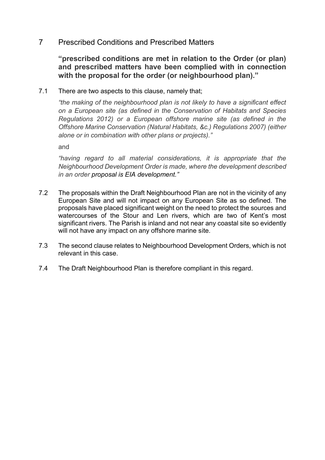#### 7 Prescribed Conditions and Prescribed Matters

**"prescribed conditions are met in relation to the Order (or plan) and prescribed matters have been complied with in connection with the proposal for the order (or neighbourhood plan)."**

7.1 There are two aspects to this clause, namely that;

*"the making of the neighbourhood plan is not likely to have a significant effect on a European site (as defined in the Conservation of Habitats and Species Regulations 2012) or a European offshore marine site (as defined in the Offshore Marine Conservation (Natural Habitats, &c.) Regulations 2007) (either alone or in combination with other plans or projects)."*

and

*"having regard to all material considerations, it is appropriate that the Neighbourhood Development Order is made, where the development described in an order proposal is EIA development."*

- 7.2 The proposals within the Draft Neighbourhood Plan are not in the vicinity of any European Site and will not impact on any European Site as so defined. The proposals have placed significant weight on the need to protect the sources and watercourses of the Stour and Len rivers, which are two of Kent's most significant rivers. The Parish is inland and not near any coastal site so evidently will not have any impact on any offshore marine site.
- 7.3 The second clause relates to Neighbourhood Development Orders, which is not relevant in this case.
- 7.4 The Draft Neighbourhood Plan is therefore compliant in this regard.